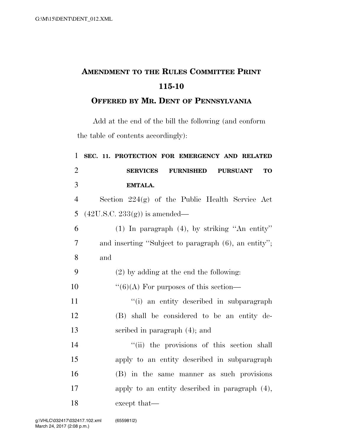## **AMENDMENT TO THE RULES COMMITTEE PRINT 115-10**

## **OFFERED BY MR. DENT OF PENNSYLVANIA**

Add at the end of the bill the following (and conform the table of contents accordingly):

| $\mathbf{1}$   | SEC. 11. PROTECTION FOR EMERGENCY AND RELATED                       |
|----------------|---------------------------------------------------------------------|
| $\overline{2}$ | <b>SERVICES</b><br><b>FURNISHED</b><br><b>TO</b><br><b>PURSUANT</b> |
| 3              | <b>EMTALA.</b>                                                      |
| $\overline{4}$ | Section $224(g)$ of the Public Health Service Act                   |
| 5              | $(42U.S.C. 233(g))$ is amended—                                     |
| 6              | $(1)$ In paragraph $(4)$ , by striking "An entity"                  |
| $\overline{7}$ | and inserting "Subject to paragraph (6), an entity";                |
| 8              | and                                                                 |
| 9              | $(2)$ by adding at the end the following:                           |
| 10             | $``(6)(A)$ For purposes of this section—                            |
| 11             | "(i) an entity described in subparagraph                            |
| 12             | (B) shall be considered to be an entity de-                         |
| 13             | scribed in paragraph $(4)$ ; and                                    |
| 14             | "(ii) the provisions of this section shall                          |
| 15             | apply to an entity described in subparagraph                        |
| 16             | (B) in the same manner as such provisions                           |
| 17             | apply to an entity described in paragraph (4),                      |
| 18             | except that—                                                        |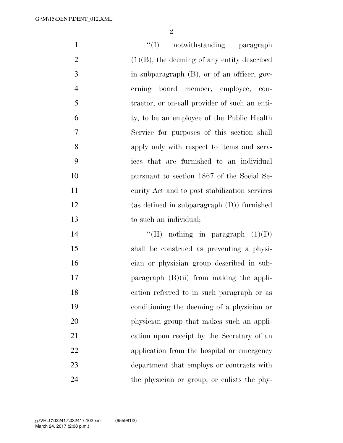$\mathfrak{D}$ 

1 ''(I) notwithstanding paragraph 2 (1)(B), the deeming of any entity described 3 in subparagraph (B), or of an officer, gov- erning board member, employee, con- tractor, or on-call provider of such an enti- ty, to be an employee of the Public Health Service for purposes of this section shall apply only with respect to items and serv- ices that are furnished to an individual pursuant to section 1867 of the Social Se- curity Act and to post stabilization services (as defined in subparagraph (D)) furnished to such an individual;  $\text{``(II)}$  nothing in paragraph  $(1)(D)$  shall be construed as preventing a physi- cian or physician group described in sub-17 paragraph (B)(ii) from making the appli- cation referred to in such paragraph or as conditioning the deeming of a physician or physician group that makes such an appli- cation upon receipt by the Secretary of an application from the hospital or emergency department that employs or contracts with

the physician or group, or enlists the phy-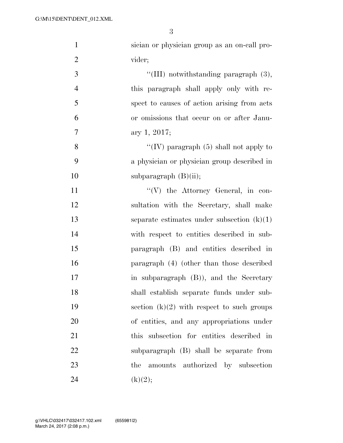| $\mathbf{1}$   | sician or physician group as an on-call pro- |
|----------------|----------------------------------------------|
| $\overline{2}$ | vider;                                       |
| 3              | "(III) notwithstanding paragraph $(3)$ ,     |
| $\overline{4}$ | this paragraph shall apply only with re-     |
| 5              | spect to causes of action arising from acts  |
| 6              | or omissions that occur on or after Janu-    |
| $\tau$         | ary 1, 2017;                                 |
| 8              | "(IV) paragraph $(5)$ shall not apply to     |
| 9              | a physician or physician group described in  |
| 10             | subparagraph $(B)(ii)$ ;                     |
| 11             | "(V) the Attorney General, in con-           |
| 12             | sultation with the Secretary, shall make     |
| 13             | separate estimates under subsection $(k)(1)$ |
| 14             | with respect to entities described in sub-   |
| 15             | paragraph (B) and entities described in      |
| 16             | paragraph (4) (other than those described    |
| 17             | in subparagraph (B)), and the Secretary      |
| 18             | shall establish separate funds under sub-    |
| 19             | section $(k)(2)$ with respect to such groups |
| 20             | of entities, and any appropriations under    |
| 21             | this subsection for entities described in    |
| 22             | subparagraph (B) shall be separate from      |
| 23             | amounts authorized by subsection<br>the      |
| 24             | (k)(2);                                      |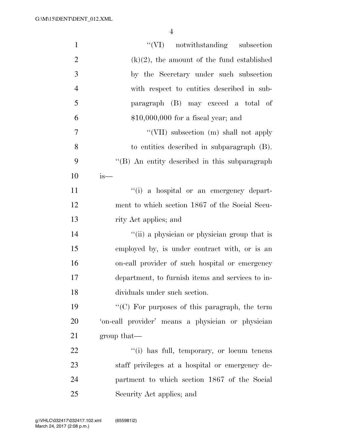| $\mathbf{1}$   | "(VI) notwithstanding subsection                  |
|----------------|---------------------------------------------------|
| $\overline{2}$ | $(k)(2)$ , the amount of the fund established     |
| 3              | by the Secretary under such subsection            |
| $\overline{4}$ | with respect to entities described in sub-        |
| 5              | paragraph (B) may exceed a total of               |
| 6              | $$10,000,000$ for a fiscal year; and              |
| $\tau$         | "(VII) subsection (m) shall not apply             |
| 8              | to entities described in subparagraph (B).        |
| 9              | "(B) An entity described in this subparagraph     |
| 10             | $is-$                                             |
| 11             | "(i) a hospital or an emergency depart-           |
| 12             | ment to which section 1867 of the Social Secu-    |
| 13             | rity Act applies; and                             |
| 14             | "(ii) a physician or physician group that is      |
| 15             | employed by, is under contract with, or is an     |
| 16             | on-call provider of such hospital or emergency    |
| 17             | department, to furnish items and services to in-  |
| 18             | dividuals under such section.                     |
| 19             | "(C) For purposes of this paragraph, the term     |
| 20             | 'on-call provider' means a physician or physician |
| 21             | group that—                                       |
| 22             | "(i) has full, temporary, or locum tenens         |
| 23             | staff privileges at a hospital or emergency de-   |
| 24             | partment to which section 1867 of the Social      |
| 25             | Security Act applies; and                         |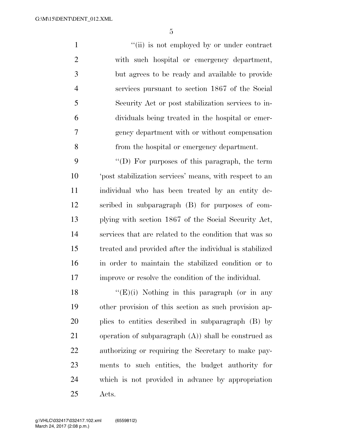$''(ii)$  is not employed by or under contract with such hospital or emergency department, but agrees to be ready and available to provide services pursuant to section 1867 of the Social Security Act or post stabilization services to in- dividuals being treated in the hospital or emer- gency department with or without compensation from the hospital or emergency department.

 ''(D) For purposes of this paragraph, the term 'post stabilization services' means, with respect to an individual who has been treated by an entity de- scribed in subparagraph (B) for purposes of com- plying with section 1867 of the Social Security Act, services that are related to the condition that was so treated and provided after the individual is stabilized in order to maintain the stabilized condition or to improve or resolve the condition of the individual.

 $\langle (E)(i) \rangle$  Nothing in this paragraph (or in any other provision of this section as such provision ap- plies to entities described in subparagraph (B) by operation of subparagraph (A)) shall be construed as authorizing or requiring the Secretary to make pay- ments to such entities, the budget authority for which is not provided in advance by appropriation Acts.